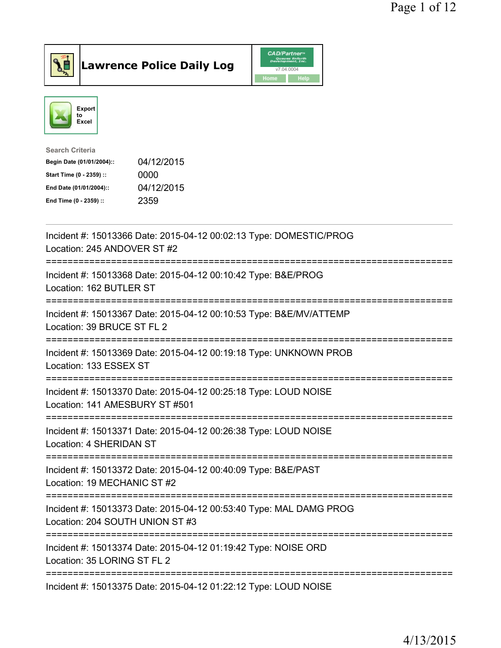

Lawrence Police Daily Log CAD/Partners



| <b>Search Criteria</b>    |            |
|---------------------------|------------|
| Begin Date (01/01/2004):: | 04/12/2015 |
| Start Time (0 - 2359) ::  | 0000       |
| End Date (01/01/2004)::   | 04/12/2015 |
| End Time (0 - 2359) ::    | 2359       |
|                           |            |

| Incident #: 15013366 Date: 2015-04-12 00:02:13 Type: DOMESTIC/PROG<br>Location: 245 ANDOVER ST #2     |
|-------------------------------------------------------------------------------------------------------|
| Incident #: 15013368 Date: 2015-04-12 00:10:42 Type: B&E/PROG<br>Location: 162 BUTLER ST              |
| Incident #: 15013367 Date: 2015-04-12 00:10:53 Type: B&E/MV/ATTEMP<br>Location: 39 BRUCE ST FL 2      |
| Incident #: 15013369 Date: 2015-04-12 00:19:18 Type: UNKNOWN PROB<br>Location: 133 ESSEX ST           |
| Incident #: 15013370 Date: 2015-04-12 00:25:18 Type: LOUD NOISE<br>Location: 141 AMESBURY ST #501     |
| Incident #: 15013371 Date: 2015-04-12 00:26:38 Type: LOUD NOISE<br>Location: 4 SHERIDAN ST            |
| Incident #: 15013372 Date: 2015-04-12 00:40:09 Type: B&E/PAST<br>Location: 19 MECHANIC ST #2          |
| Incident #: 15013373 Date: 2015-04-12 00:53:40 Type: MAL DAMG PROG<br>Location: 204 SOUTH UNION ST #3 |
| Incident #: 15013374 Date: 2015-04-12 01:19:42 Type: NOISE ORD<br>Location: 35 LORING ST FL 2         |
| Incident #: 15013375 Date: 2015-04-12 01:22:12 Type: LOUD NOISE                                       |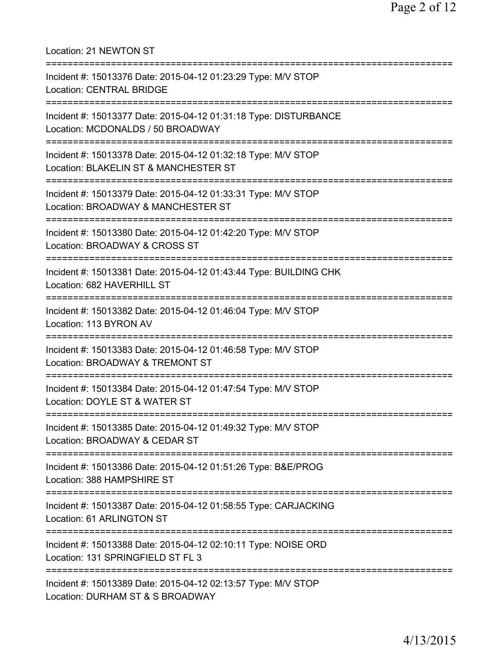| Location: 21 NEWTON ST                                                                                                                       |
|----------------------------------------------------------------------------------------------------------------------------------------------|
| Incident #: 15013376 Date: 2015-04-12 01:23:29 Type: M/V STOP<br><b>Location: CENTRAL BRIDGE</b>                                             |
| Incident #: 15013377 Date: 2015-04-12 01:31:18 Type: DISTURBANCE<br>Location: MCDONALDS / 50 BROADWAY                                        |
| Incident #: 15013378 Date: 2015-04-12 01:32:18 Type: M/V STOP<br>Location: BLAKELIN ST & MANCHESTER ST<br>================================== |
| Incident #: 15013379 Date: 2015-04-12 01:33:31 Type: M/V STOP<br>Location: BROADWAY & MANCHESTER ST                                          |
| Incident #: 15013380 Date: 2015-04-12 01:42:20 Type: M/V STOP<br>Location: BROADWAY & CROSS ST                                               |
| Incident #: 15013381 Date: 2015-04-12 01:43:44 Type: BUILDING CHK<br>Location: 682 HAVERHILL ST                                              |
| Incident #: 15013382 Date: 2015-04-12 01:46:04 Type: M/V STOP<br>Location: 113 BYRON AV                                                      |
| Incident #: 15013383 Date: 2015-04-12 01:46:58 Type: M/V STOP<br>Location: BROADWAY & TREMONT ST                                             |
| Incident #: 15013384 Date: 2015-04-12 01:47:54 Type: M/V STOP<br>Location: DOYLE ST & WATER ST                                               |
| Incident #: 15013385 Date: 2015-04-12 01:49:32 Type: M/V STOP<br>Location: BROADWAY & CEDAR ST                                               |
| Incident #: 15013386 Date: 2015-04-12 01:51:26 Type: B&E/PROG<br>Location: 388 HAMPSHIRE ST                                                  |
| ====================================<br>Incident #: 15013387 Date: 2015-04-12 01:58:55 Type: CARJACKING<br>Location: 61 ARLINGTON ST         |
| Incident #: 15013388 Date: 2015-04-12 02:10:11 Type: NOISE ORD<br>Location: 131 SPRINGFIELD ST FL 3                                          |
| Incident #: 15013389 Date: 2015-04-12 02:13:57 Type: M/V STOP<br>Location: DURHAM ST & S BROADWAY                                            |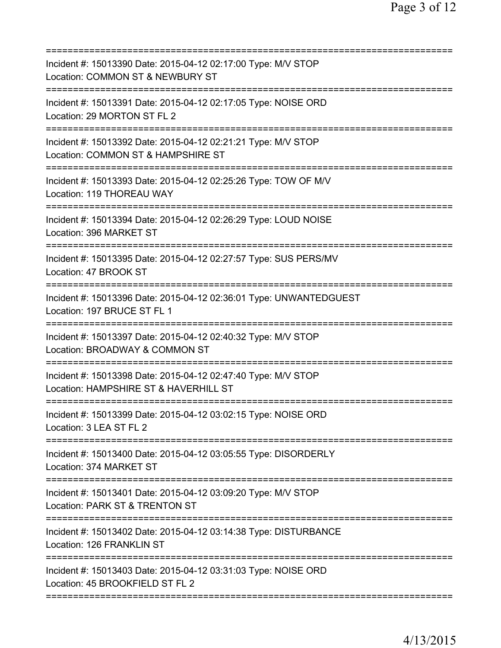| Incident #: 15013390 Date: 2015-04-12 02:17:00 Type: M/V STOP<br>Location: COMMON ST & NEWBURY ST                       |
|-------------------------------------------------------------------------------------------------------------------------|
| Incident #: 15013391 Date: 2015-04-12 02:17:05 Type: NOISE ORD<br>Location: 29 MORTON ST FL 2                           |
| Incident #: 15013392 Date: 2015-04-12 02:21:21 Type: M/V STOP<br>Location: COMMON ST & HAMPSHIRE ST                     |
| =======================<br>Incident #: 15013393 Date: 2015-04-12 02:25:26 Type: TOW OF M/V<br>Location: 119 THOREAU WAY |
| Incident #: 15013394 Date: 2015-04-12 02:26:29 Type: LOUD NOISE<br>Location: 396 MARKET ST                              |
| Incident #: 15013395 Date: 2015-04-12 02:27:57 Type: SUS PERS/MV<br>Location: 47 BROOK ST                               |
| Incident #: 15013396 Date: 2015-04-12 02:36:01 Type: UNWANTEDGUEST<br>Location: 197 BRUCE ST FL 1                       |
| Incident #: 15013397 Date: 2015-04-12 02:40:32 Type: M/V STOP<br>Location: BROADWAY & COMMON ST                         |
| Incident #: 15013398 Date: 2015-04-12 02:47:40 Type: M/V STOP<br>Location: HAMPSHIRE ST & HAVERHILL ST                  |
| Incident #: 15013399 Date: 2015-04-12 03:02:15 Type: NOISE ORD<br>Location: 3 LEA ST FL 2                               |
| Incident #: 15013400 Date: 2015-04-12 03:05:55 Type: DISORDERLY<br>Location: 374 MARKET ST                              |
| Incident #: 15013401 Date: 2015-04-12 03:09:20 Type: M/V STOP<br>Location: PARK ST & TRENTON ST                         |
| Incident #: 15013402 Date: 2015-04-12 03:14:38 Type: DISTURBANCE<br>Location: 126 FRANKLIN ST                           |
| Incident #: 15013403 Date: 2015-04-12 03:31:03 Type: NOISE ORD<br>Location: 45 BROOKFIELD ST FL 2                       |
|                                                                                                                         |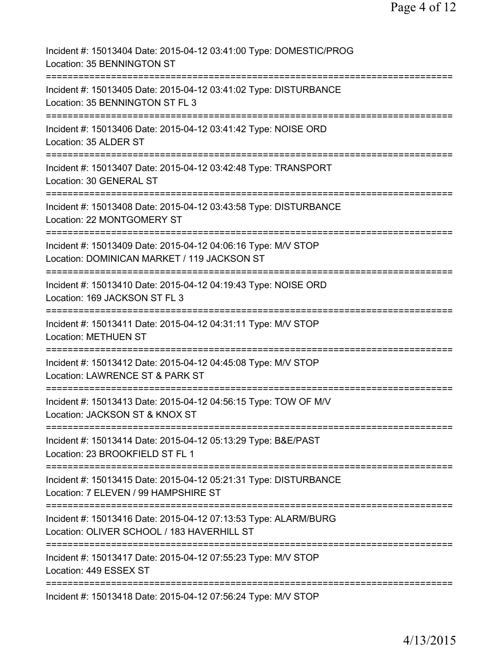| Incident #: 15013404 Date: 2015-04-12 03:41:00 Type: DOMESTIC/PROG<br>Location: 35 BENNINGTON ST                                              |
|-----------------------------------------------------------------------------------------------------------------------------------------------|
| Incident #: 15013405 Date: 2015-04-12 03:41:02 Type: DISTURBANCE<br>Location: 35 BENNINGTON ST FL 3                                           |
| Incident #: 15013406 Date: 2015-04-12 03:41:42 Type: NOISE ORD<br>Location: 35 ALDER ST                                                       |
| Incident #: 15013407 Date: 2015-04-12 03:42:48 Type: TRANSPORT<br>Location: 30 GENERAL ST                                                     |
| Incident #: 15013408 Date: 2015-04-12 03:43:58 Type: DISTURBANCE<br>Location: 22 MONTGOMERY ST                                                |
| Incident #: 15013409 Date: 2015-04-12 04:06:16 Type: M/V STOP<br>Location: DOMINICAN MARKET / 119 JACKSON ST                                  |
| Incident #: 15013410 Date: 2015-04-12 04:19:43 Type: NOISE ORD<br>Location: 169 JACKSON ST FL 3                                               |
| Incident #: 15013411 Date: 2015-04-12 04:31:11 Type: M/V STOP<br><b>Location: METHUEN ST</b>                                                  |
| -----------<br>Incident #: 15013412 Date: 2015-04-12 04:45:08 Type: M/V STOP<br>Location: LAWRENCE ST & PARK ST                               |
| Incident #: 15013413 Date: 2015-04-12 04:56:15 Type: TOW OF M/V<br>Location: JACKSON ST & KNOX ST                                             |
| Incident #: 15013414 Date: 2015-04-12 05:13:29 Type: B&E/PAST<br>Location: 23 BROOKFIELD ST FL 1                                              |
| Incident #: 15013415 Date: 2015-04-12 05:21:31 Type: DISTURBANCE<br>Location: 7 ELEVEN / 99 HAMPSHIRE ST                                      |
| ============================<br>Incident #: 15013416 Date: 2015-04-12 07:13:53 Type: ALARM/BURG<br>Location: OLIVER SCHOOL / 183 HAVERHILL ST |
| ======================================<br>Incident #: 15013417 Date: 2015-04-12 07:55:23 Type: M/V STOP<br>Location: 449 ESSEX ST             |
| Incident #: 15013418 Date: 2015-04-12 07:56:24 Type: M/V STOP                                                                                 |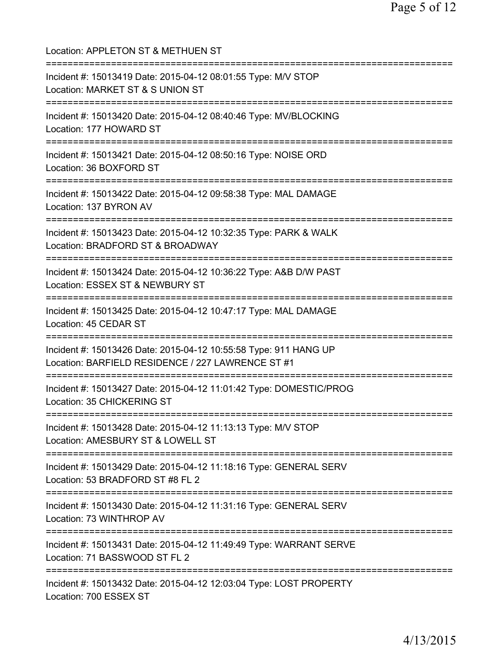Location: APPLETON ST & METHUEN ST =========================================================================== Incident #: 15013419 Date: 2015-04-12 08:01:55 Type: M/V STOP Location: MARKET ST & S UNION ST =========================================================================== Incident #: 15013420 Date: 2015-04-12 08:40:46 Type: MV/BLOCKING Location: 177 HOWARD ST =========================================================================== Incident #: 15013421 Date: 2015-04-12 08:50:16 Type: NOISE ORD Location: 36 BOXFORD ST =========================================================================== Incident #: 15013422 Date: 2015-04-12 09:58:38 Type: MAL DAMAGE Location: 137 BYRON AV =========================================================================== Incident #: 15013423 Date: 2015-04-12 10:32:35 Type: PARK & WALK Location: BRADFORD ST & BROADWAY =========================================================================== Incident #: 15013424 Date: 2015-04-12 10:36:22 Type: A&B D/W PAST Location: ESSEX ST & NEWBURY ST =========================================================================== Incident #: 15013425 Date: 2015-04-12 10:47:17 Type: MAL DAMAGE Location: 45 CEDAR ST =========================================================================== Incident #: 15013426 Date: 2015-04-12 10:55:58 Type: 911 HANG UP Location: BARFIELD RESIDENCE / 227 LAWRENCE ST #1 =========================================================================== Incident #: 15013427 Date: 2015-04-12 11:01:42 Type: DOMESTIC/PROG Location: 35 CHICKERING ST =========================================================================== Incident #: 15013428 Date: 2015-04-12 11:13:13 Type: M/V STOP Location: AMESBURY ST & LOWELL ST =========================================================================== Incident #: 15013429 Date: 2015-04-12 11:18:16 Type: GENERAL SERV Location: 53 BRADFORD ST #8 FL 2 =========================================================================== Incident #: 15013430 Date: 2015-04-12 11:31:16 Type: GENERAL SERV Location: 73 WINTHROP AV =========================================================================== Incident #: 15013431 Date: 2015-04-12 11:49:49 Type: WARRANT SERVE Location: 71 BASSWOOD ST FL 2 =========================================================================== Incident #: 15013432 Date: 2015-04-12 12:03:04 Type: LOST PROPERTY Location: 700 ESSEX ST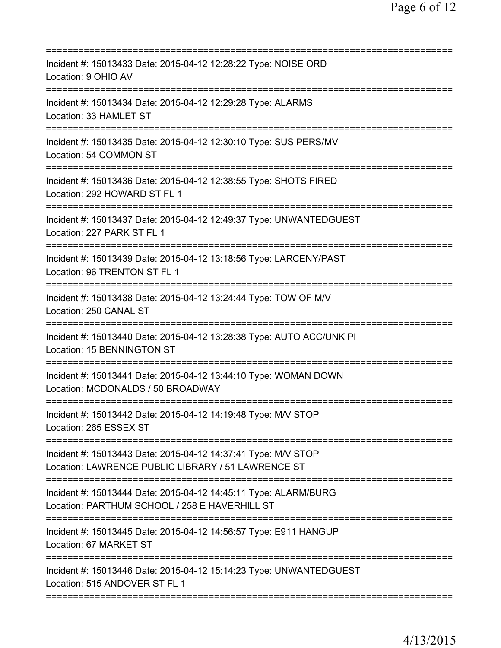| Incident #: 15013433 Date: 2015-04-12 12:28:22 Type: NOISE ORD<br>Location: 9 OHIO AV                               |
|---------------------------------------------------------------------------------------------------------------------|
| Incident #: 15013434 Date: 2015-04-12 12:29:28 Type: ALARMS<br>Location: 33 HAMLET ST                               |
| Incident #: 15013435 Date: 2015-04-12 12:30:10 Type: SUS PERS/MV<br>Location: 54 COMMON ST                          |
| Incident #: 15013436 Date: 2015-04-12 12:38:55 Type: SHOTS FIRED<br>Location: 292 HOWARD ST FL 1                    |
| Incident #: 15013437 Date: 2015-04-12 12:49:37 Type: UNWANTEDGUEST<br>Location: 227 PARK ST FL 1                    |
| Incident #: 15013439 Date: 2015-04-12 13:18:56 Type: LARCENY/PAST<br>Location: 96 TRENTON ST FL 1                   |
| Incident #: 15013438 Date: 2015-04-12 13:24:44 Type: TOW OF M/V<br>Location: 250 CANAL ST                           |
| Incident #: 15013440 Date: 2015-04-12 13:28:38 Type: AUTO ACC/UNK PI<br>Location: 15 BENNINGTON ST                  |
| Incident #: 15013441 Date: 2015-04-12 13:44:10 Type: WOMAN DOWN<br>Location: MCDONALDS / 50 BROADWAY                |
| Incident #: 15013442 Date: 2015-04-12 14:19:48 Type: M/V STOP<br>Location: 265 ESSEX ST                             |
| Incident #: 15013443 Date: 2015-04-12 14:37:41 Type: M/V STOP<br>Location: LAWRENCE PUBLIC LIBRARY / 51 LAWRENCE ST |
| Incident #: 15013444 Date: 2015-04-12 14:45:11 Type: ALARM/BURG<br>Location: PARTHUM SCHOOL / 258 E HAVERHILL ST    |
| Incident #: 15013445 Date: 2015-04-12 14:56:57 Type: E911 HANGUP<br>Location: 67 MARKET ST                          |
| Incident #: 15013446 Date: 2015-04-12 15:14:23 Type: UNWANTEDGUEST<br>Location: 515 ANDOVER ST FL 1                 |
|                                                                                                                     |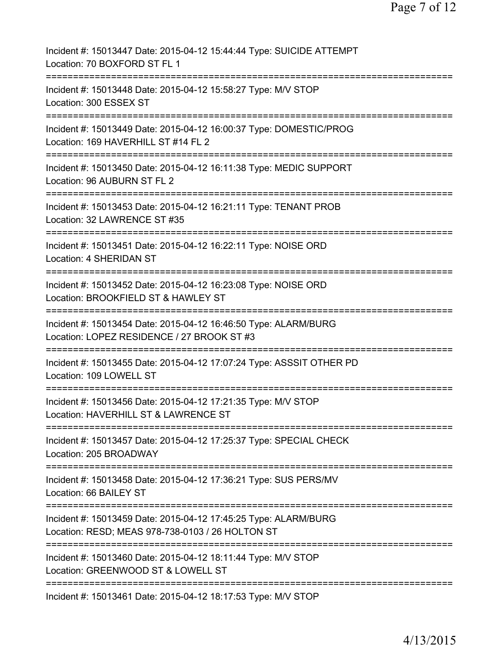| Incident #: 15013447 Date: 2015-04-12 15:44:44 Type: SUICIDE ATTEMPT<br>Location: 70 BOXFORD ST FL 1                |
|---------------------------------------------------------------------------------------------------------------------|
| Incident #: 15013448 Date: 2015-04-12 15:58:27 Type: M/V STOP<br>Location: 300 ESSEX ST                             |
| Incident #: 15013449 Date: 2015-04-12 16:00:37 Type: DOMESTIC/PROG<br>Location: 169 HAVERHILL ST #14 FL 2           |
| Incident #: 15013450 Date: 2015-04-12 16:11:38 Type: MEDIC SUPPORT<br>Location: 96 AUBURN ST FL 2                   |
| Incident #: 15013453 Date: 2015-04-12 16:21:11 Type: TENANT PROB<br>Location: 32 LAWRENCE ST #35                    |
| Incident #: 15013451 Date: 2015-04-12 16:22:11 Type: NOISE ORD<br>Location: 4 SHERIDAN ST                           |
| Incident #: 15013452 Date: 2015-04-12 16:23:08 Type: NOISE ORD<br>Location: BROOKFIELD ST & HAWLEY ST               |
| Incident #: 15013454 Date: 2015-04-12 16:46:50 Type: ALARM/BURG<br>Location: LOPEZ RESIDENCE / 27 BROOK ST #3       |
| Incident #: 15013455 Date: 2015-04-12 17:07:24 Type: ASSSIT OTHER PD<br>Location: 109 LOWELL ST                     |
| Incident #: 15013456 Date: 2015-04-12 17:21:35 Type: M/V STOP<br>Location: HAVERHILL ST & LAWRENCE ST               |
| Incident #: 15013457 Date: 2015-04-12 17:25:37 Type: SPECIAL CHECK<br>Location: 205 BROADWAY                        |
| Incident #: 15013458 Date: 2015-04-12 17:36:21 Type: SUS PERS/MV<br>Location: 66 BAILEY ST                          |
| Incident #: 15013459 Date: 2015-04-12 17:45:25 Type: ALARM/BURG<br>Location: RESD; MEAS 978-738-0103 / 26 HOLTON ST |
| Incident #: 15013460 Date: 2015-04-12 18:11:44 Type: M/V STOP<br>Location: GREENWOOD ST & LOWELL ST                 |
| ===========================<br>Incident #: 15013461 Date: 2015-04-12 18:17:53 Type: M/V STOP                        |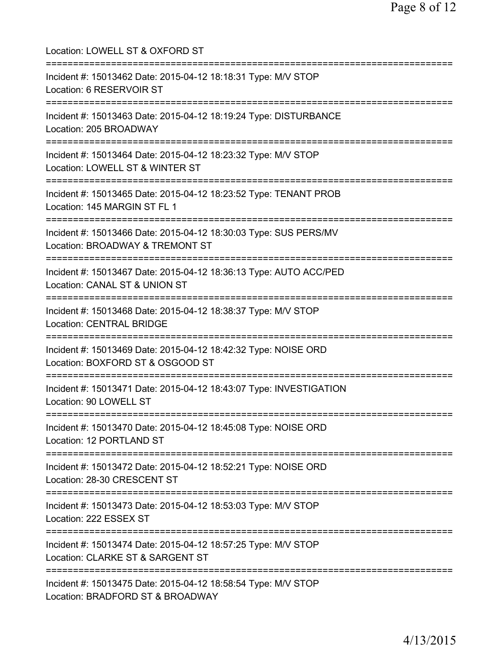Location: LOWELL ST & OXFORD ST =========================================================================== Incident #: 15013462 Date: 2015-04-12 18:18:31 Type: M/V STOP Location: 6 RESERVOIR ST =========================================================================== Incident #: 15013463 Date: 2015-04-12 18:19:24 Type: DISTURBANCE Location: 205 BROADWAY =========================================================================== Incident #: 15013464 Date: 2015-04-12 18:23:32 Type: M/V STOP Location: LOWELL ST & WINTER ST =========================================================================== Incident #: 15013465 Date: 2015-04-12 18:23:52 Type: TENANT PROB Location: 145 MARGIN ST FL 1 =========================================================================== Incident #: 15013466 Date: 2015-04-12 18:30:03 Type: SUS PERS/MV Location: BROADWAY & TREMONT ST =========================================================================== Incident #: 15013467 Date: 2015-04-12 18:36:13 Type: AUTO ACC/PED Location: CANAL ST & UNION ST =========================================================================== Incident #: 15013468 Date: 2015-04-12 18:38:37 Type: M/V STOP Location: CENTRAL BRIDGE =========================================================================== Incident #: 15013469 Date: 2015-04-12 18:42:32 Type: NOISE ORD Location: BOXFORD ST & OSGOOD ST =========================================================================== Incident #: 15013471 Date: 2015-04-12 18:43:07 Type: INVESTIGATION Location: 90 LOWELL ST =========================================================================== Incident #: 15013470 Date: 2015-04-12 18:45:08 Type: NOISE ORD Location: 12 PORTLAND ST =========================================================================== Incident #: 15013472 Date: 2015-04-12 18:52:21 Type: NOISE ORD Location: 28-30 CRESCENT ST =========================================================================== Incident #: 15013473 Date: 2015-04-12 18:53:03 Type: M/V STOP Location: 222 ESSEX ST =========================================================================== Incident #: 15013474 Date: 2015-04-12 18:57:25 Type: M/V STOP Location: CLARKE ST & SARGENT ST =========================================================================== Incident #: 15013475 Date: 2015-04-12 18:58:54 Type: M/V STOP Location: BRADFORD ST & BROADWAY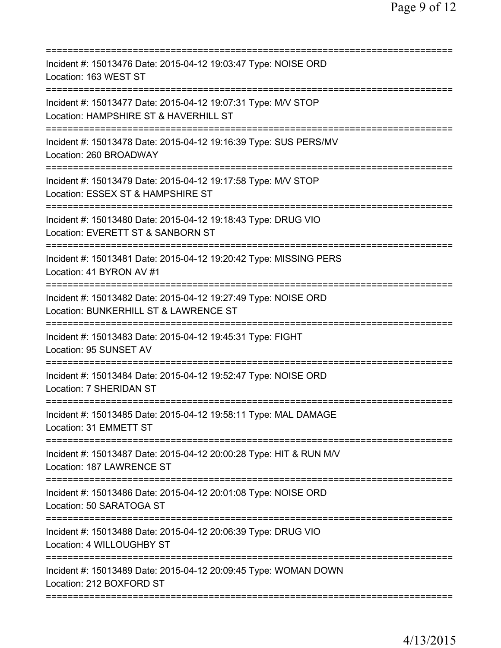| Incident #: 15013476 Date: 2015-04-12 19:03:47 Type: NOISE ORD<br>Location: 163 WEST ST                                        |
|--------------------------------------------------------------------------------------------------------------------------------|
| Incident #: 15013477 Date: 2015-04-12 19:07:31 Type: M/V STOP<br>Location: HAMPSHIRE ST & HAVERHILL ST                         |
| Incident #: 15013478 Date: 2015-04-12 19:16:39 Type: SUS PERS/MV<br>Location: 260 BROADWAY                                     |
| Incident #: 15013479 Date: 2015-04-12 19:17:58 Type: M/V STOP<br>Location: ESSEX ST & HAMPSHIRE ST                             |
| Incident #: 15013480 Date: 2015-04-12 19:18:43 Type: DRUG VIO<br>Location: EVERETT ST & SANBORN ST                             |
| =============================<br>Incident #: 15013481 Date: 2015-04-12 19:20:42 Type: MISSING PERS<br>Location: 41 BYRON AV #1 |
| Incident #: 15013482 Date: 2015-04-12 19:27:49 Type: NOISE ORD<br>Location: BUNKERHILL ST & LAWRENCE ST                        |
| Incident #: 15013483 Date: 2015-04-12 19:45:31 Type: FIGHT<br>Location: 95 SUNSET AV                                           |
| Incident #: 15013484 Date: 2015-04-12 19:52:47 Type: NOISE ORD<br>Location: 7 SHERIDAN ST                                      |
| Incident #: 15013485 Date: 2015-04-12 19:58:11 Type: MAL DAMAGE<br>Location: 31 EMMETT ST                                      |
| Incident #: 15013487 Date: 2015-04-12 20:00:28 Type: HIT & RUN M/V<br>Location: 187 LAWRENCE ST                                |
| Incident #: 15013486 Date: 2015-04-12 20:01:08 Type: NOISE ORD<br>Location: 50 SARATOGA ST                                     |
| Incident #: 15013488 Date: 2015-04-12 20:06:39 Type: DRUG VIO<br>Location: 4 WILLOUGHBY ST                                     |
| Incident #: 15013489 Date: 2015-04-12 20:09:45 Type: WOMAN DOWN<br>Location: 212 BOXFORD ST                                    |
|                                                                                                                                |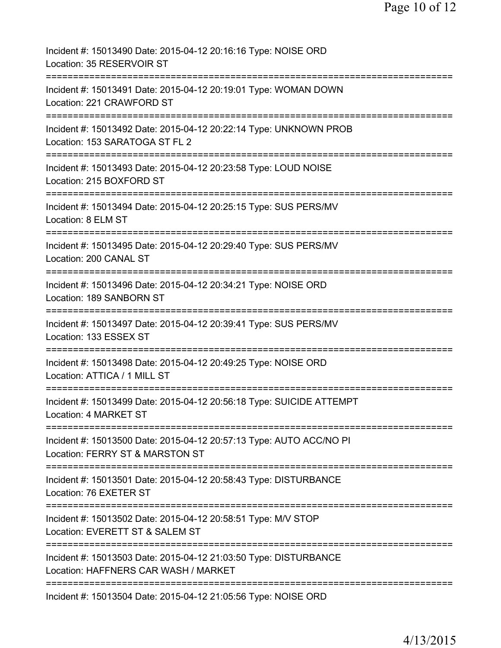| Incident #: 15013490 Date: 2015-04-12 20:16:16 Type: NOISE ORD<br>Location: 35 RESERVOIR ST                                                    |
|------------------------------------------------------------------------------------------------------------------------------------------------|
| Incident #: 15013491 Date: 2015-04-12 20:19:01 Type: WOMAN DOWN<br>Location: 221 CRAWFORD ST                                                   |
| Incident #: 15013492 Date: 2015-04-12 20:22:14 Type: UNKNOWN PROB<br>Location: 153 SARATOGA ST FL 2                                            |
| Incident #: 15013493 Date: 2015-04-12 20:23:58 Type: LOUD NOISE<br>Location: 215 BOXFORD ST                                                    |
| Incident #: 15013494 Date: 2015-04-12 20:25:15 Type: SUS PERS/MV<br>Location: 8 ELM ST                                                         |
| Incident #: 15013495 Date: 2015-04-12 20:29:40 Type: SUS PERS/MV<br>Location: 200 CANAL ST                                                     |
| Incident #: 15013496 Date: 2015-04-12 20:34:21 Type: NOISE ORD<br>Location: 189 SANBORN ST                                                     |
| Incident #: 15013497 Date: 2015-04-12 20:39:41 Type: SUS PERS/MV<br>Location: 133 ESSEX ST                                                     |
| Incident #: 15013498 Date: 2015-04-12 20:49:25 Type: NOISE ORD<br>Location: ATTICA / 1 MILL ST                                                 |
| Incident #: 15013499 Date: 2015-04-12 20:56:18 Type: SUICIDE ATTEMPT<br>Location: 4 MARKET ST                                                  |
| Incident #: 15013500 Date: 2015-04-12 20:57:13 Type: AUTO ACC/NO PI<br>Location: FERRY ST & MARSTON ST                                         |
| .===============================<br>Incident #: 15013501 Date: 2015-04-12 20:58:43 Type: DISTURBANCE<br>Location: 76 EXETER ST                 |
| Incident #: 15013502 Date: 2015-04-12 20:58:51 Type: M/V STOP<br>Location: EVERETT ST & SALEM ST                                               |
| ==================================<br>Incident #: 15013503 Date: 2015-04-12 21:03:50 Type: DISTURBANCE<br>Location: HAFFNERS CAR WASH / MARKET |
| Incident #: 15013504 Date: 2015-04-12 21:05:56 Type: NOISE ORD                                                                                 |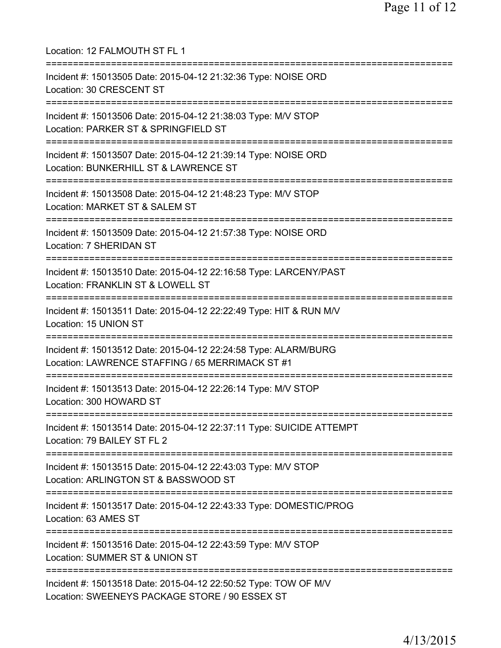| Location: 12 FALMOUTH ST FL 1                                                                                                                 |
|-----------------------------------------------------------------------------------------------------------------------------------------------|
| Incident #: 15013505 Date: 2015-04-12 21:32:36 Type: NOISE ORD<br>Location: 30 CRESCENT ST<br>=================================               |
| Incident #: 15013506 Date: 2015-04-12 21:38:03 Type: M/V STOP<br>Location: PARKER ST & SPRINGFIELD ST<br>==================================== |
| Incident #: 15013507 Date: 2015-04-12 21:39:14 Type: NOISE ORD<br>Location: BUNKERHILL ST & LAWRENCE ST                                       |
| .===================================<br>Incident #: 15013508 Date: 2015-04-12 21:48:23 Type: M/V STOP<br>Location: MARKET ST & SALEM ST       |
| Incident #: 15013509 Date: 2015-04-12 21:57:38 Type: NOISE ORD<br>Location: 7 SHERIDAN ST                                                     |
| Incident #: 15013510 Date: 2015-04-12 22:16:58 Type: LARCENY/PAST<br>Location: FRANKLIN ST & LOWELL ST                                        |
| Incident #: 15013511 Date: 2015-04-12 22:22:49 Type: HIT & RUN M/V<br>Location: 15 UNION ST                                                   |
| Incident #: 15013512 Date: 2015-04-12 22:24:58 Type: ALARM/BURG<br>Location: LAWRENCE STAFFING / 65 MERRIMACK ST #1                           |
| Incident #: 15013513 Date: 2015-04-12 22:26:14 Type: M/V STOP<br>Location: 300 HOWARD ST                                                      |
| Incident #: 15013514 Date: 2015-04-12 22:37:11 Type: SUICIDE ATTEMPT<br>Location: 79 BAILEY ST FL 2                                           |
| Incident #: 15013515 Date: 2015-04-12 22:43:03 Type: M/V STOP<br>Location: ARLINGTON ST & BASSWOOD ST                                         |
| Incident #: 15013517 Date: 2015-04-12 22:43:33 Type: DOMESTIC/PROG<br>Location: 63 AMES ST                                                    |
| Incident #: 15013516 Date: 2015-04-12 22:43:59 Type: M/V STOP<br>Location: SUMMER ST & UNION ST                                               |
| Incident #: 15013518 Date: 2015-04-12 22:50:52 Type: TOW OF M/V<br>Location: SWEENEYS PACKAGE STORE / 90 ESSEX ST                             |